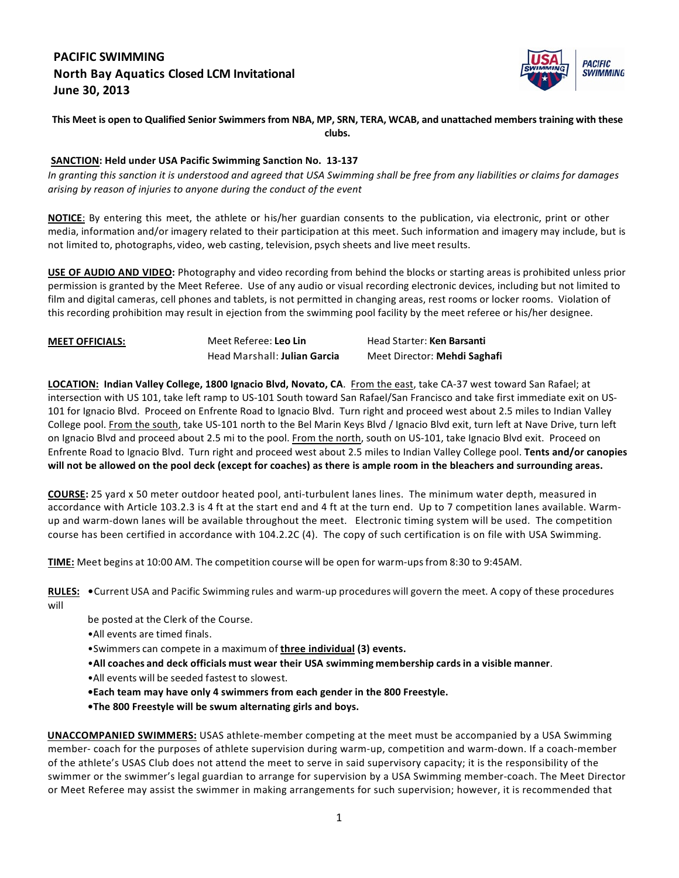# **PACIFIC SWIMMING North Bay Aquatics Closed LCM Invitational June 30, 2013**



#### This Meet is open to Qualified Senior Swimmers from NBA, MP, SRN, TERA, WCAB, and unattached members training with these **clubs.**

### **SANCTION: Held under USA Pacific Swimming Sanction No. 13-137**

In granting this sanction it is understood and agreed that USA Swimming shall be free from any liabilities or claims for damages arising by reason of injuries to anyone during the conduct of the event

**NOTICE**: By entering this meet, the athlete or his/her guardian consents to the publication, via electronic, print or other media, information and/or imagery related to their participation at this meet. Such information and imagery may include, but is not limited to, photographs, video, web casting, television, psych sheets and live meet results.

**USE OF AUDIO AND VIDEO:** Photography and video recording from behind the blocks or starting areas is prohibited unless prior permission is granted by the Meet Referee. Use of any audio or visual recording electronic devices, including but not limited to film and digital cameras, cell phones and tablets, is not permitted in changing areas, rest rooms or locker rooms. Violation of this recording prohibition may result in ejection from the swimming pool facility by the meet referee or his/her designee.

| <b>MEET OFFICIALS:</b> | Meet Referee: Leo Lin        | Head Starter: Ken Barsanti          |
|------------------------|------------------------------|-------------------------------------|
|                        | Head Marshall: Julian Garcia | Meet Director: <b>Mehdi Saghafi</b> |

**LOCATION:** Indian Valley College, 1800 Ignacio Blvd, Novato, CA. From the east, take CA-37 west toward San Rafael; at intersection with US 101, take left ramp to US-101 South toward San Rafael/San Francisco and take first immediate exit on US-101 for Ignacio Blvd. Proceed on Enfrente Road to Ignacio Blvd. Turn right and proceed west about 2.5 miles to Indian Valley College pool. From the south, take US-101 north to the Bel Marin Keys Blvd / Ignacio Blvd exit, turn left at Nave Drive, turn left on Ignacio Blvd and proceed about 2.5 mi to the pool. From the north, south on US-101, take Ignacio Blvd exit. Proceed on Enfrente Road to Ignacio Blvd. Turn right and proceed west about 2.5 miles to Indian Valley College pool. Tents and/or canopies will not be allowed on the pool deck (except for coaches) as there is ample room in the bleachers and surrounding areas.

**COURSE:** 25 yard x 50 meter outdoor heated pool, anti-turbulent lanes lines. The minimum water depth, measured in accordance with Article 103.2.3 is 4 ft at the start end and 4 ft at the turn end. Up to 7 competition lanes available. Warmup and warm-down lanes will be available throughout the meet. Electronic timing system will be used. The competition course has been certified in accordance with 104.2.2C (4). The copy of such certification is on file with USA Swimming.

**TIME:** Meet begins at 10:00 AM. The competition course will be open for warm-upsfrom 8:30 to 9:45AM. 

RULES: . Current USA and Pacific Swimming rules and warm-up procedures will govern the meet. A copy of these procedures will

- be posted at the Clerk of the Course.
- All events are timed finals.
- •Swimmers can compete in a maximum of **three individual (3)** events.
- •**All coaches and deck officials must wear their USA swimming membership cardsin a visible manner**.
- •All events will be seeded fastest to slowest.
- **•Each team may have only 4 swimmers from each gender in the 800 Freestyle.**
- **•The 800 Freestyle will be swum alternating girls and boys.**

**UNACCOMPANIED SWIMMERS:** USAS athlete-member competing at the meet must be accompanied by a USA Swimming member- coach for the purposes of athlete supervision during warm-up, competition and warm-down. If a coach-member of the athlete's USAS Club does not attend the meet to serve in said supervisory capacity; it is the responsibility of the swimmer or the swimmer's legal guardian to arrange for supervision by a USA Swimming member-coach. The Meet Director or Meet Referee may assist the swimmer in making arrangements for such supervision; however, it is recommended that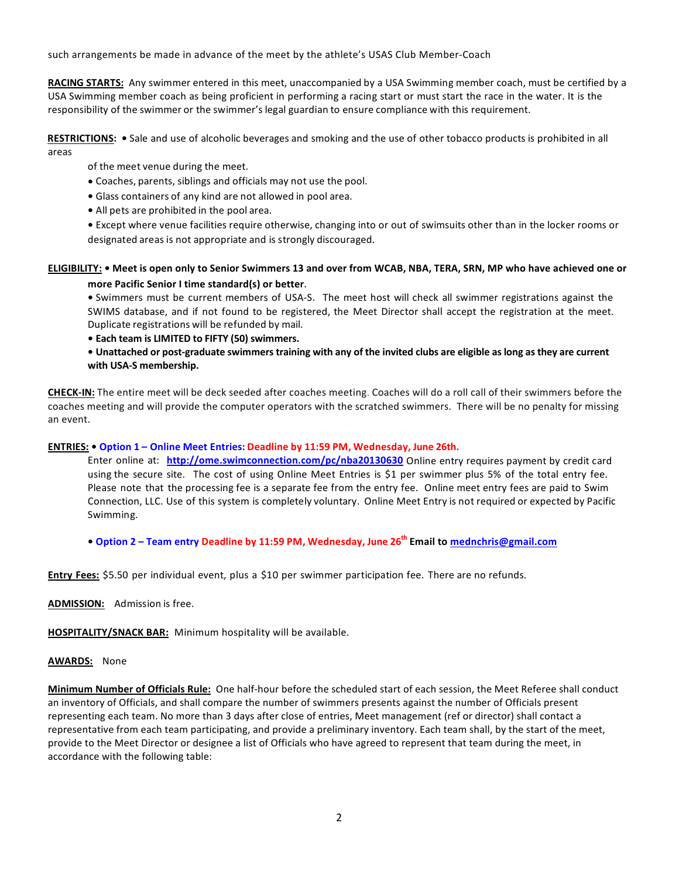such arrangements be made in advance of the meet by the athlete's USAS Club Member-Coach

**RACING STARTS:** Any swimmer entered in this meet, unaccompanied by a USA Swimming member coach, must be certified by a USA Swimming member coach as being proficient in performing a racing start or must start the race in the water. It is the responsibility of the swimmer or the swimmer's legal guardian to ensure compliance with this requirement.

RESTRICTIONS: • Sale and use of alcoholic beverages and smoking and the use of other tobacco products is prohibited in all areas

of the meet venue during the meet.

- **•** Coaches, parents, siblings and officials may not use the pool.
- **•** Glass containers of any kind are not allowed in pool area.
- All pets are prohibited in the pool area.

• Except where venue facilities require otherwise, changing into or out of swimsuits other than in the locker rooms or designated areas is not appropriate and is strongly discouraged.

### ELIGIBILITY: • Meet is open only to Senior Swimmers 13 and over from WCAB, NBA, TERA, SRN, MP who have achieved one or **more Pacific Senior I time standard(s) or better.**

**•** Swimmers must be current members of USA-S. The meet host will check all swimmer registrations against the SWIMS database, and if not found to be registered, the Meet Director shall accept the registration at the meet. Duplicate registrations will be refunded by mail. 

• Each team is LIMITED to FIFTY (50) swimmers.

• Unattached or post-graduate swimmers training with any of the invited clubs are eligible as long as they are current with USA-S membership.

**CHECK-IN:** The entire meet will be deck seeded after coaches meeting. Coaches will do a roll call of their swimmers before the coaches meeting and will provide the computer operators with the scratched swimmers. There will be no penalty for missing an event.

#### **ENTRIES: • Option 1 – Online Meet Entries: Deadline by 11:59 PM, Wednesday, June 26th.**

Enter online at: **http://ome.swimconnection.com/pc/nba20130630** Online entry requires payment by credit card using the secure site. The cost of using Online Meet Entries is \$1 per swimmer plus 5% of the total entry fee. Please note that the processing fee is a separate fee from the entry fee. Online meet entry fees are paid to Swim Connection, LLC. Use of this system is completely voluntary. Online Meet Entry is not required or expected by Pacific Swimming.

**• Option 2 – Team entry Deadline by 11:59 PM, Wednesday, June 26th Email to mednchris@gmail.com**

**Entry Fees:** \$5.50 per individual event, plus a \$10 per swimmer participation fee. There are no refunds.

ADMISSION: Admission is free.

**HOSPITALITY/SNACK BAR:** Minimum hospitality will be available.

#### AWARDS: None

Minimum Number of Officials Rule: One half-hour before the scheduled start of each session, the Meet Referee shall conduct an inventory of Officials, and shall compare the number of swimmers presents against the number of Officials present representing each team. No more than 3 days after close of entries, Meet management (ref or director) shall contact a representative from each team participating, and provide a preliminary inventory. Each team shall, by the start of the meet, provide to the Meet Director or designee a list of Officials who have agreed to represent that team during the meet, in accordance with the following table: